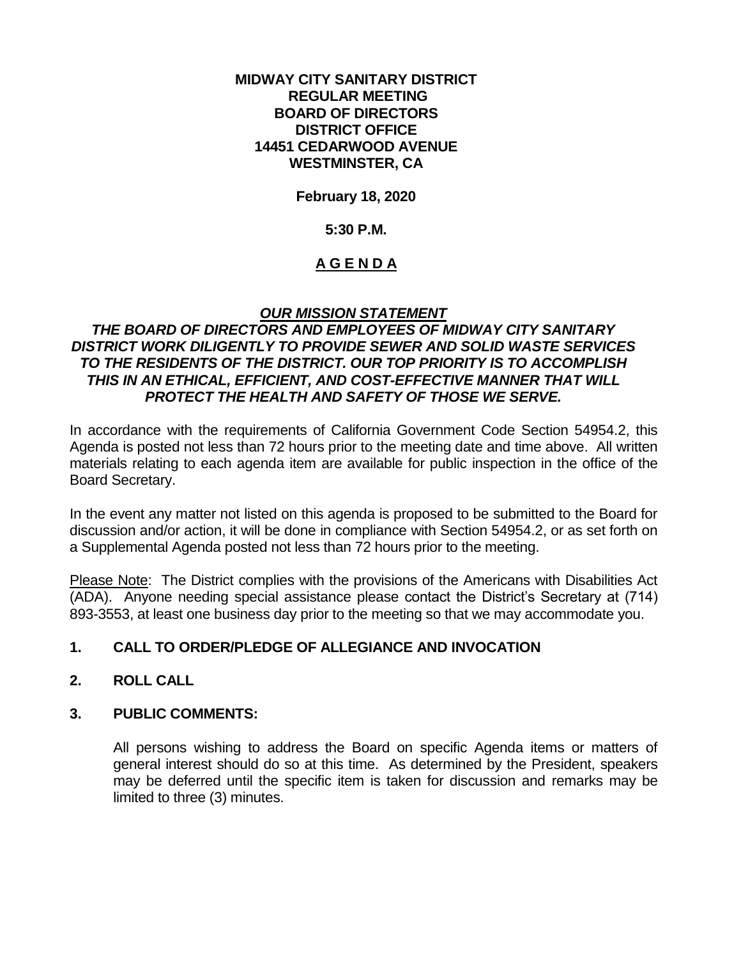#### **MIDWAY CITY SANITARY DISTRICT REGULAR MEETING BOARD OF DIRECTORS DISTRICT OFFICE 14451 CEDARWOOD AVENUE WESTMINSTER, CA**

# **February 18, 2020**

#### **5:30 P.M.**

# **A G E N D A**

# *OUR MISSION STATEMENT*

# *THE BOARD OF DIRECTORS AND EMPLOYEES OF MIDWAY CITY SANITARY DISTRICT WORK DILIGENTLY TO PROVIDE SEWER AND SOLID WASTE SERVICES TO THE RESIDENTS OF THE DISTRICT. OUR TOP PRIORITY IS TO ACCOMPLISH THIS IN AN ETHICAL, EFFICIENT, AND COST-EFFECTIVE MANNER THAT WILL PROTECT THE HEALTH AND SAFETY OF THOSE WE SERVE.*

In accordance with the requirements of California Government Code Section 54954.2, this Agenda is posted not less than 72 hours prior to the meeting date and time above. All written materials relating to each agenda item are available for public inspection in the office of the Board Secretary.

In the event any matter not listed on this agenda is proposed to be submitted to the Board for discussion and/or action, it will be done in compliance with Section 54954.2, or as set forth on a Supplemental Agenda posted not less than 72 hours prior to the meeting.

Please Note: The District complies with the provisions of the Americans with Disabilities Act (ADA). Anyone needing special assistance please contact the District's Secretary at (714) 893-3553, at least one business day prior to the meeting so that we may accommodate you.

# **1. CALL TO ORDER/PLEDGE OF ALLEGIANCE AND INVOCATION**

# **2. ROLL CALL**

#### **3. PUBLIC COMMENTS:**

All persons wishing to address the Board on specific Agenda items or matters of general interest should do so at this time. As determined by the President, speakers may be deferred until the specific item is taken for discussion and remarks may be limited to three (3) minutes.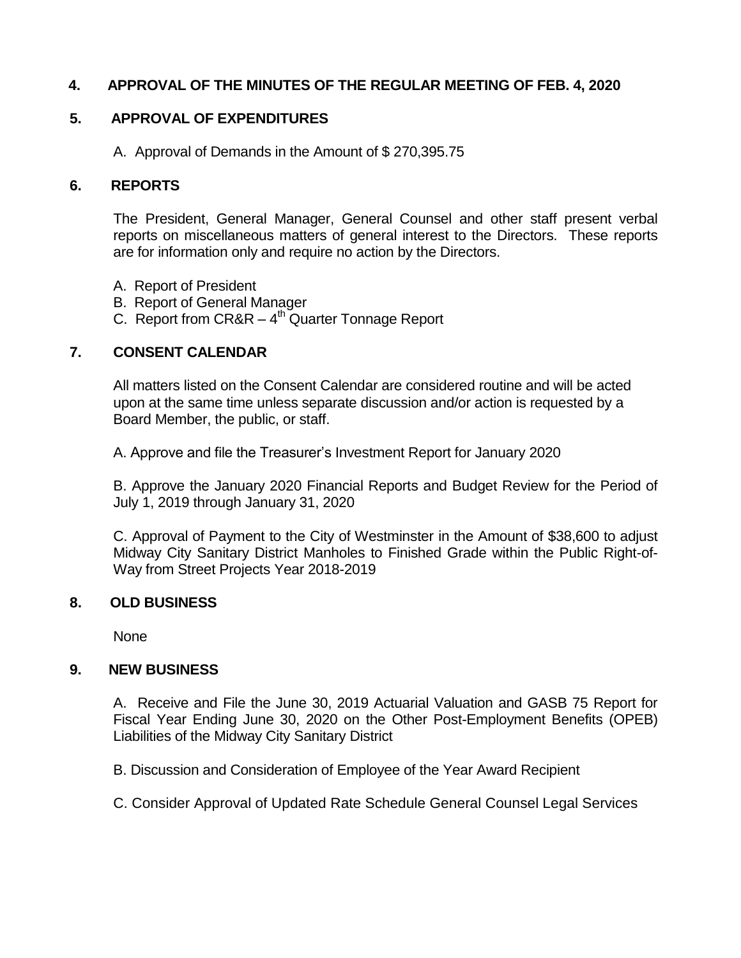# **4. APPROVAL OF THE MINUTES OF THE REGULAR MEETING OF FEB. 4, 2020**

# **5. APPROVAL OF EXPENDITURES**

A. Approval of Demands in the Amount of \$ 270,395.75

#### **6. REPORTS**

The President, General Manager, General Counsel and other staff present verbal reports on miscellaneous matters of general interest to the Directors. These reports are for information only and require no action by the Directors.

- A. Report of President
- B. Report of General Manager
- C. Report from  $CR&R 4<sup>th</sup>$  Quarter Tonnage Report

# **7. CONSENT CALENDAR**

All matters listed on the Consent Calendar are considered routine and will be acted upon at the same time unless separate discussion and/or action is requested by a Board Member, the public, or staff.

A. Approve and file the Treasurer's Investment Report for January 2020

B. Approve the January 2020 Financial Reports and Budget Review for the Period of July 1, 2019 through January 31, 2020

C. Approval of Payment to the City of Westminster in the Amount of \$38,600 to adjust Midway City Sanitary District Manholes to Finished Grade within the Public Right-of-Way from Street Projects Year 2018-2019

#### **8. OLD BUSINESS**

None

# **9. NEW BUSINESS**

A. Receive and File the June 30, 2019 Actuarial Valuation and GASB 75 Report for Fiscal Year Ending June 30, 2020 on the Other Post-Employment Benefits (OPEB) Liabilities of the Midway City Sanitary District

B. Discussion and Consideration of Employee of the Year Award Recipient

C. Consider Approval of Updated Rate Schedule General Counsel Legal Services